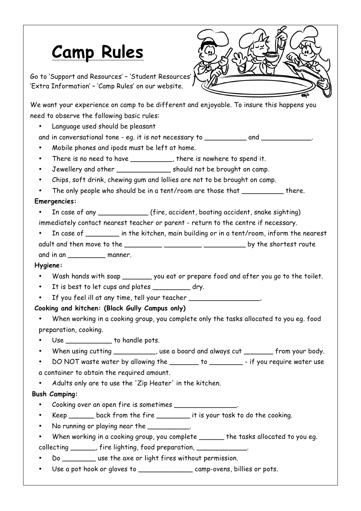# **Camp Rules**

Go to 'Support and Resources' – 'Student Resources' – 'Extra Information' – 'Camp Rules' on our website.

We want your experience on camp to be different and enjoyable. To insure this happens you need to observe the following basic rules:

• Language used should be pleasant

and in conversational tone - eq. it is not necessary to and and  $\qquad \qquad$ .

• Mobile phones and ipods must be left at home.

- There is no need to have \_\_\_\_\_\_\_\_\_\_, there is nowhere to spend it.
- Jewellery and other substitution of the brought on camp.
- Chips, soft drink, chewing gum and lollies are not to be brought on camp.
- The only people who should be in a tent/room are those that \_\_\_\_\_\_\_\_\_\_\_\_ there.

### **Emergencies:**

- In case of any \_\_\_\_\_\_\_\_\_\_\_\_ (fire, accident, boating accident, snake sighting)
- immediately contact nearest teacher or parent return to the centre if necessary.
- In case of \_\_\_\_\_\_\_\_ in the kitchen, main building or in a tent/room, inform the nearest adult and then move to the \_\_\_\_\_\_\_\_\_ \_\_\_\_\_\_\_\_\_ \_\_\_\_\_\_\_\_\_\_ by the shortest route

and in an zonanner.

### **Hygiene:**

- Wash hands with soap \_\_\_\_\_\_\_\_ you eat or prepare food and after you go to the toilet.
- It is best to let cups and plates \_\_\_\_\_\_\_\_\_ dry.
- If you feel ill at any time, tell your teacher \_\_\_\_\_\_\_\_\_\_\_\_\_\_\_\_,

## **Cooking and kitchen: (Black Gully Campus only)**

- When working in a cooking group, you complete only the tasks allocated to you eg. food preparation, cooking.
- Use to handle pots.
- When using cutting \_\_\_\_\_\_\_\_\_, use a board and always cut \_\_\_\_\_\_\_ from your body.
- DO NOT waste water by allowing the \_\_\_\_\_\_\_ to \_\_\_\_\_\_\_\_ if you require water use a container to obtain the required amount.
- Adults only are to use the 'Zip Heater' in the kitchen.

### **Bush Camping:**

- Cooking over an open fire is sometimes \_\_\_\_\_\_\_\_\_\_\_\_\_\_\_.
- Keep \_\_\_\_\_\_\_ back from the fire \_\_\_\_\_\_\_\_\_ it is your task to do the cooking.
- No running or playing near the \_\_\_\_\_\_\_\_\_
- When working in a cooking group, you complete \_\_\_\_\_\_\_ the tasks allocated to you eg. collecting \_\_\_\_\_\_, fire lighting, food preparation, \_\_\_\_\_\_
- Do \_\_\_\_\_\_\_\_\_ use the axe or light fires without permission.
- Use a pot hook or gloves to \_\_\_\_\_\_\_\_\_\_\_\_\_\_\_\_\_\_\_\_\_ camp-ovens, billies or pots.